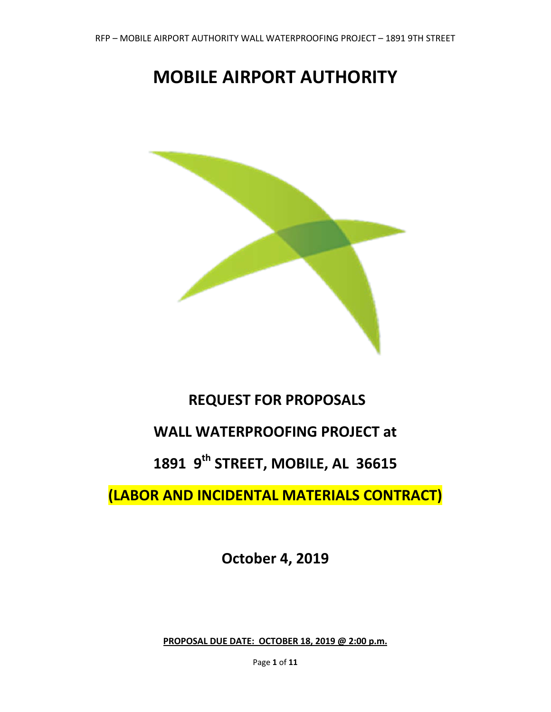# **MOBILE AIRPORT AUTHORITY**



# **REQUEST FOR PROPOSALS**

# **WALL WATERPROOFING PROJECT at**

# **1891 9th STREET, MOBILE, AL 36615**

**(LABOR AND INCIDENTAL MATERIALS CONTRACT)**

**October 4, 2019**

**PROPOSAL DUE DATE: OCTOBER 18, 2019 @ 2:00 p.m.**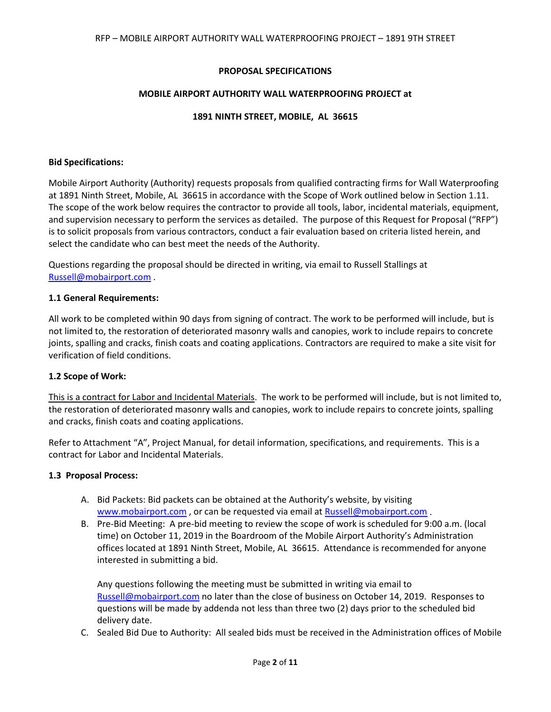## **PROPOSAL SPECIFICATIONS**

#### **MOBILE AIRPORT AUTHORITY WALL WATERPROOFING PROJECT at**

#### **1891 NINTH STREET, MOBILE, AL 36615**

#### **Bid Specifications:**

Mobile Airport Authority (Authority) requests proposals from qualified contracting firms for Wall Waterproofing at 1891 Ninth Street, Mobile, AL 36615 in accordance with the Scope of Work outlined below in Section 1.11. The scope of the work below requires the contractor to provide all tools, labor, incidental materials, equipment, and supervision necessary to perform the services as detailed. The purpose of this Request for Proposal ("RFP") is to solicit proposals from various contractors, conduct a fair evaluation based on criteria listed herein, and select the candidate who can best meet the needs of the Authority.

Questions regarding the proposal should be directed in writing, via email to Russell Stallings at [Russell@mobairport.com](mailto:Russell@mobairport.com) .

#### **1.1 General Requirements:**

All work to be completed within 90 days from signing of contract. The work to be performed will include, but is not limited to, the restoration of deteriorated masonry walls and canopies, work to include repairs to concrete joints, spalling and cracks, finish coats and coating applications. Contractors are required to make a site visit for verification of field conditions.

#### **1.2 Scope of Work:**

This is a contract for Labor and Incidental Materials. The work to be performed will include, but is not limited to, the restoration of deteriorated masonry walls and canopies, work to include repairs to concrete joints, spalling and cracks, finish coats and coating applications.

Refer to Attachment "A", Project Manual, for detail information, specifications, and requirements. This is a contract for Labor and Incidental Materials.

#### **1.3 Proposal Process:**

- A. Bid Packets: Bid packets can be obtained at the Authority's website, by visiting [www.mobairport.com](http://www.mobairport.com/) , or can be requested via email at [Russell@mobairport.com](mailto:Russell@mobairport.com) .
- B. Pre-Bid Meeting: A pre-bid meeting to review the scope of work is scheduled for 9:00 a.m. (local time) on October 11, 2019 in the Boardroom of the Mobile Airport Authority's Administration offices located at 1891 Ninth Street, Mobile, AL 36615. Attendance is recommended for anyone interested in submitting a bid.

Any questions following the meeting must be submitted in writing via email to [Russell@mobairport.com](mailto:Russell@mobairport.com) no later than the close of business on October 14, 2019. Responses to questions will be made by addenda not less than three two (2) days prior to the scheduled bid delivery date.

C. Sealed Bid Due to Authority: All sealed bids must be received in the Administration offices of Mobile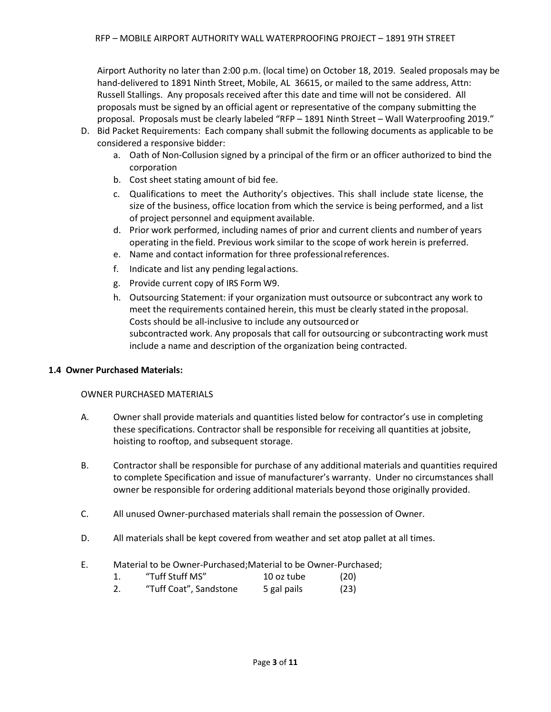Airport Authority no later than 2:00 p.m. (local time) on October 18, 2019. Sealed proposals may be hand-delivered to 1891 Ninth Street, Mobile, AL 36615, or mailed to the same address, Attn: Russell Stallings. Any proposals received after this date and time will not be considered. All proposals must be signed by an official agent or representative of the company submitting the proposal. Proposals must be clearly labeled "RFP – 1891 Ninth Street – Wall Waterproofing 2019."

- D. Bid Packet Requirements: Each company shall submit the following documents as applicable to be considered a responsive bidder:
	- a. Oath of Non-Collusion signed by a principal of the firm or an officer authorized to bind the corporation
	- b. Cost sheet stating amount of bid fee.
	- c. Qualifications to meet the Authority's objectives. This shall include state license, the size of the business, office location from which the service is being performed, and a list of project personnel and equipment available.
	- d. Prior work performed, including names of prior and current clients and numberof years operating in the field. Previous work similar to the scope of work herein is preferred.
	- e. Name and contact information for three professionalreferences.
	- f. Indicate and list any pending legalactions.
	- g. Provide current copy of IRS Form W9.
	- h. Outsourcing Statement: if your organization must outsource or subcontract any work to meet the requirements contained herein, this must be clearly stated inthe proposal. Costs should be all-inclusive to include any outsourced or subcontracted work. Any proposals that call for outsourcing or subcontracting work must include a name and description of the organization being contracted.

## **1.4 Owner Purchased Materials:**

## OWNER PURCHASED MATERIALS

- A. Owner shall provide materials and quantities listed below for contractor's use in completing these specifications. Contractor shall be responsible for receiving all quantities at jobsite, hoisting to rooftop, and subsequent storage.
- B. Contractor shall be responsible for purchase of any additional materials and quantities required to complete Specification and issue of manufacturer's warranty. Under no circumstances shall owner be responsible for ordering additional materials beyond those originally provided.
- C. All unused Owner-purchased materials shall remain the possession of Owner.
- D. All materials shall be kept covered from weather and set atop pallet at all times.
- E. Material to be Owner-Purchased;Material to be Owner-Purchased;
	- 1. "Tuff Stuff MS" 10 oz tube (20)
	- 2. "Tuff Coat", Sandstone 5 gal pails (23)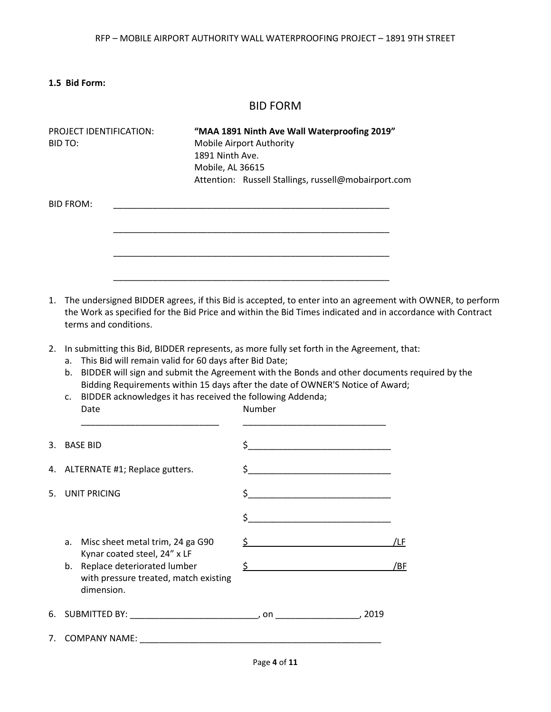## **1.5 Bid Form:**

# BID FORM

|    | <b>BID TO:</b>   | PROJECT IDENTIFICATION:                                                                                                         | "MAA 1891 Ninth Ave Wall Waterproofing 2019"<br>Mobile Airport Authority<br>1891 Ninth Ave.<br>Mobile, AL 36615<br>Attention: Russell Stallings, russell@mobairport.com                                                                                                                   |     |
|----|------------------|---------------------------------------------------------------------------------------------------------------------------------|-------------------------------------------------------------------------------------------------------------------------------------------------------------------------------------------------------------------------------------------------------------------------------------------|-----|
|    | <b>BID FROM:</b> |                                                                                                                                 |                                                                                                                                                                                                                                                                                           |     |
|    |                  |                                                                                                                                 |                                                                                                                                                                                                                                                                                           |     |
|    |                  | terms and conditions.                                                                                                           | 1. The undersigned BIDDER agrees, if this Bid is accepted, to enter into an agreement with OWNER, to perform<br>the Work as specified for the Bid Price and within the Bid Times indicated and in accordance with Contract                                                                |     |
| 2. | c.               | a. This Bid will remain valid for 60 days after Bid Date;<br>BIDDER acknowledges it has received the following Addenda;<br>Date | In submitting this Bid, BIDDER represents, as more fully set forth in the Agreement, that:<br>b. BIDDER will sign and submit the Agreement with the Bonds and other documents required by the<br>Bidding Requirements within 15 days after the date of OWNER'S Notice of Award;<br>Number |     |
|    |                  | 3. BASE BID                                                                                                                     | $\frac{1}{2}$                                                                                                                                                                                                                                                                             |     |
|    |                  | 4. ALTERNATE #1; Replace gutters.                                                                                               | $\frac{1}{2}$                                                                                                                                                                                                                                                                             |     |
|    |                  | 5. UNIT PRICING                                                                                                                 | $\frac{1}{2}$<br>$\sim$                                                                                                                                                                                                                                                                   |     |
|    | a.               | Misc sheet metal trim, 24 ga G90<br>Kynar coated steel, 24" x LF                                                                | $\frac{1}{2}$                                                                                                                                                                                                                                                                             | /LF |
|    | b.               | Replace deteriorated lumber<br>with pressure treated, match existing<br>dimension.                                              | $\frac{1}{2}$                                                                                                                                                                                                                                                                             | /BF |

| 6. | <b>SUBMITTED BY:</b> |  |  |
|----|----------------------|--|--|
|----|----------------------|--|--|

7. COMPANY NAME: \_\_\_\_\_\_\_\_\_\_\_\_\_\_\_\_\_\_\_\_\_\_\_\_\_\_\_\_\_\_\_\_\_\_\_\_\_\_\_\_\_\_\_\_\_\_\_\_\_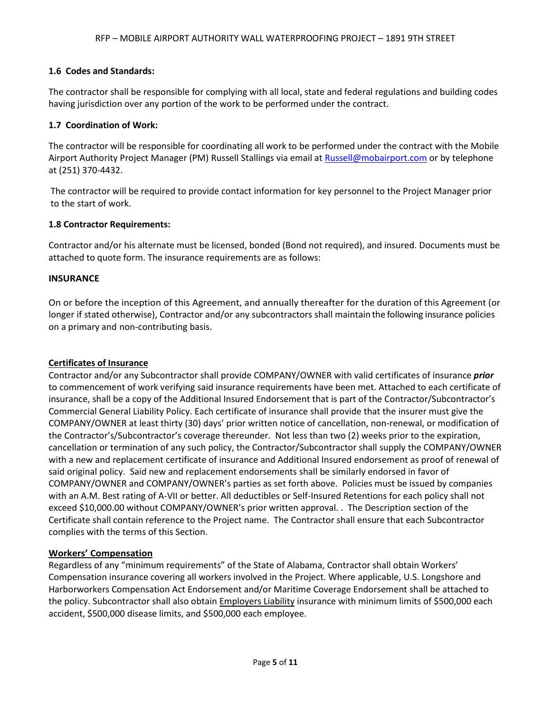## **1.6 Codes and Standards:**

The contractor shall be responsible for complying with all local, state and federal regulations and building codes having jurisdiction over any portion of the work to be performed under the contract.

## **1.7 Coordination of Work:**

The contractor will be responsible for coordinating all work to be performed under the contract with the Mobile Airport Authority Project Manager (PM) Russell Stallings via email at [Russell@mobairport.com](mailto:Russell@mobairport.com) or by telephone at (251) 370-4432.

The contractor will be required to provide contact information for key personnel to the Project Manager prior to the start of work.

## **1.8 Contractor Requirements:**

Contractor and/or his alternate must be licensed, bonded (Bond not required), and insured. Documents must be attached to quote form. The insurance requirements are as follows:

## **INSURANCE**

On or before the inception of this Agreement, and annually thereafter for the duration of this Agreement (or longer if stated otherwise), Contractor and/or any subcontractors shall maintain the following insurance policies on a primary and non-contributing basis.

## **Certificates of Insurance**

Contractor and/or any Subcontractor shall provide COMPANY/OWNER with valid certificates of insurance *prior* to commencement of work verifying said insurance requirements have been met. Attached to each certificate of insurance, shall be a copy of the Additional Insured Endorsement that is part of the Contractor/Subcontractor's Commercial General Liability Policy. Each certificate of insurance shall provide that the insurer must give the COMPANY/OWNER at least thirty (30) days' prior written notice of cancellation, non-renewal, or modification of the Contractor's/Subcontractor's coverage thereunder. Not less than two (2) weeks prior to the expiration, cancellation or termination of any such policy, the Contractor/Subcontractor shall supply the COMPANY/OWNER with a new and replacement certificate of insurance and Additional Insured endorsement as proof of renewal of said original policy. Said new and replacement endorsements shall be similarly endorsed in favor of COMPANY/OWNER and COMPANY/OWNER's parties as set forth above. Policies must be issued by companies with an A.M. Best rating of A-VII or better. All deductibles or Self-Insured Retentions for each policy shall not exceed \$10,000.00 without COMPANY/OWNER's prior written approval. . The Description section of the Certificate shall contain reference to the Project name.The Contractor shall ensure that each Subcontractor complies with the terms of this Section.

## **Workers' Compensation**

Regardless of any "minimum requirements" of the State of Alabama, Contractor shall obtain Workers' Compensation insurance covering all workers involved in the Project. Where applicable, U.S. Longshore and Harborworkers Compensation Act Endorsement and/or Maritime Coverage Endorsement shall be attached to the policy. Subcontractor shall also obtain Employers Liability insurance with minimum limits of \$500,000 each accident, \$500,000 disease limits, and \$500,000 each employee.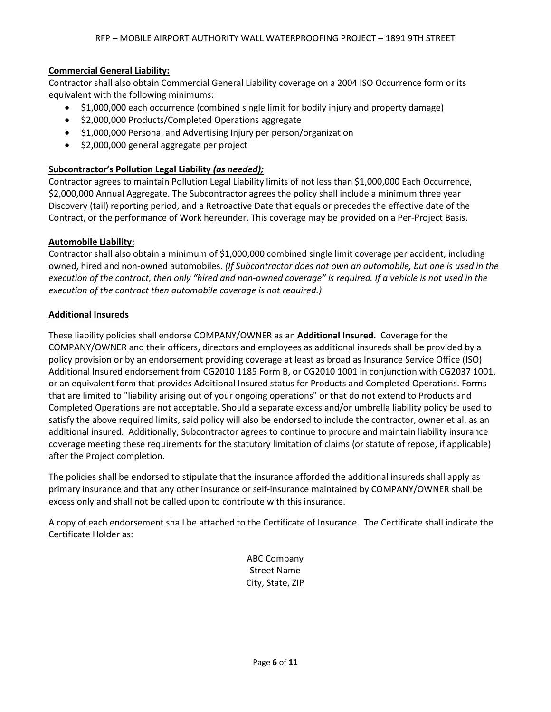## **Commercial General Liability:**

Contractor shall also obtain Commercial General Liability coverage on a 2004 ISO Occurrence form or its equivalent with the following minimums:

- \$1,000,000 each occurrence (combined single limit for bodily injury and property damage)
- \$2,000,000 Products/Completed Operations aggregate
- \$1,000,000 Personal and Advertising Injury per person/organization
- \$2,000,000 general aggregate per project

## **Subcontractor's Pollution Legal Liability** *(as needed);*

Contractor agrees to maintain Pollution Legal Liability limits of not less than \$1,000,000 Each Occurrence, \$2,000,000 Annual Aggregate. The Subcontractor agrees the policy shall include a minimum three year Discovery (tail) reporting period, and a Retroactive Date that equals or precedes the effective date of the Contract, or the performance of Work hereunder. This coverage may be provided on a Per-Project Basis.

## **Automobile Liability:**

Contractor shall also obtain a minimum of \$1,000,000 combined single limit coverage per accident, including owned, hired and non-owned automobiles. *(If Subcontractor does not own an automobile, but one is used in the execution of the contract, then only "hired and non-owned coverage" is required. If a vehicle is not used in the execution of the contract then automobile coverage is not required.)*

## **Additional Insureds**

These liability policies shall endorse COMPANY/OWNER as an **Additional Insured.** Coverage for the COMPANY/OWNER and their officers, directors and employees as additional insureds shall be provided by a policy provision or by an endorsement providing coverage at least as broad as Insurance Service Office (ISO) Additional Insured endorsement from CG2010 1185 Form B, or CG2010 1001 in conjunction with CG2037 1001, or an equivalent form that provides Additional Insured status for Products and Completed Operations. Forms that are limited to "liability arising out of your ongoing operations" or that do not extend to Products and Completed Operations are not acceptable. Should a separate excess and/or umbrella liability policy be used to satisfy the above required limits, said policy will also be endorsed to include the contractor, owner et al. as an additional insured. Additionally, Subcontractor agrees to continue to procure and maintain liability insurance coverage meeting these requirements for the statutory limitation of claims (or statute of repose, if applicable) after the Project completion.

The policies shall be endorsed to stipulate that the insurance afforded the additional insureds shall apply as primary insurance and that any other insurance or self-insurance maintained by COMPANY/OWNER shall be excess only and shall not be called upon to contribute with this insurance.

A copy of each endorsement shall be attached to the Certificate of Insurance. The Certificate shall indicate the Certificate Holder as:

> ABC Company Street Name City, State, ZIP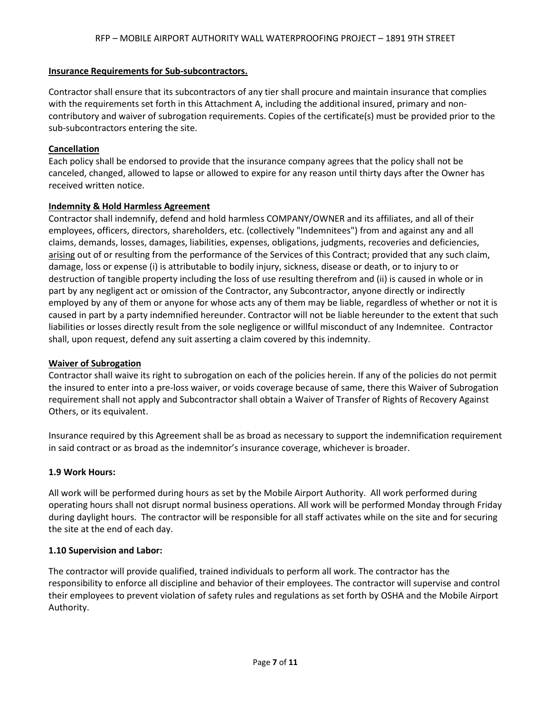## **Insurance Requirements for Sub-subcontractors.**

Contractor shall ensure that its subcontractors of any tier shall procure and maintain insurance that complies with the requirements set forth in this Attachment A, including the additional insured, primary and noncontributory and waiver of subrogation requirements. Copies of the certificate(s) must be provided prior to the sub-subcontractors entering the site.

## **Cancellation**

Each policy shall be endorsed to provide that the insurance company agrees that the policy shall not be canceled, changed, allowed to lapse or allowed to expire for any reason until thirty days after the Owner has received written notice.

## **Indemnity & Hold Harmless Agreement**

Contractor shall indemnify, defend and hold harmless COMPANY/OWNER and its affiliates, and all of their employees, officers, directors, shareholders, etc. (collectively "Indemnitees") from and against any and all claims, demands, losses, damages, liabilities, expenses, obligations, judgments, recoveries and deficiencies, arising out of or resulting from the performance of the Services of this Contract; provided that any such claim, damage, loss or expense (i) is attributable to bodily injury, sickness, disease or death, or to injury to or destruction of tangible property including the loss of use resulting therefrom and (ii) is caused in whole or in part by any negligent act or omission of the Contractor, any Subcontractor, anyone directly or indirectly employed by any of them or anyone for whose acts any of them may be liable, regardless of whether or not it is caused in part by a party indemnified hereunder. Contractor will not be liable hereunder to the extent that such liabilities or losses directly result from the sole negligence or willful misconduct of any Indemnitee. Contractor shall, upon request, defend any suit asserting a claim covered by this indemnity.

## **Waiver of Subrogation**

Contractor shall waive its right to subrogation on each of the policies herein. If any of the policies do not permit the insured to enter into a pre-loss waiver, or voids coverage because of same, there this Waiver of Subrogation requirement shall not apply and Subcontractor shall obtain a Waiver of Transfer of Rights of Recovery Against Others, or its equivalent.

Insurance required by this Agreement shall be as broad as necessary to support the indemnification requirement in said contract or as broad as the indemnitor's insurance coverage, whichever is broader.

## **1.9 Work Hours:**

All work will be performed during hours as set by the Mobile Airport Authority. All work performed during operating hours shall not disrupt normal business operations. All work will be performed Monday through Friday during daylight hours. The contractor will be responsible for all staff activates while on the site and for securing the site at the end of each day.

## **1.10 Supervision and Labor:**

The contractor will provide qualified, trained individuals to perform all work. The contractor has the responsibility to enforce all discipline and behavior of their employees. The contractor will supervise and control their employees to prevent violation of safety rules and regulations as set forth by OSHA and the Mobile Airport Authority.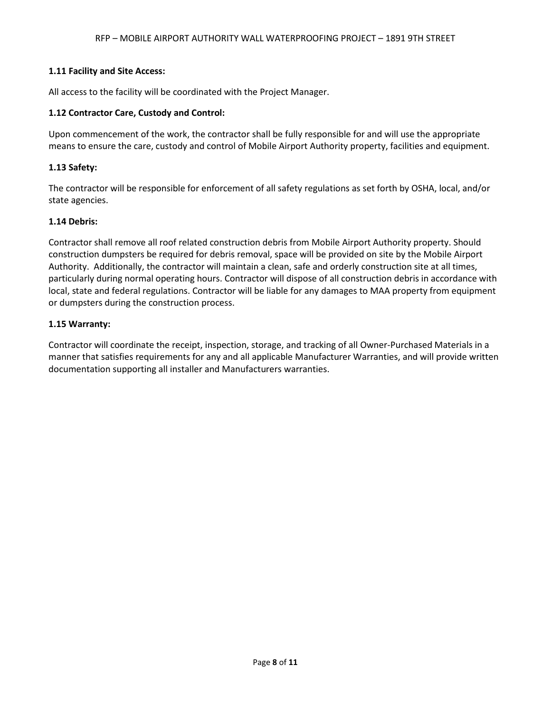## **1.11 Facility and Site Access:**

All access to the facility will be coordinated with the Project Manager.

## **1.12 Contractor Care, Custody and Control:**

Upon commencement of the work, the contractor shall be fully responsible for and will use the appropriate means to ensure the care, custody and control of Mobile Airport Authority property, facilities and equipment.

## **1.13 Safety:**

The contractor will be responsible for enforcement of all safety regulations as set forth by OSHA, local, and/or state agencies.

## **1.14 Debris:**

Contractor shall remove all roof related construction debris from Mobile Airport Authority property. Should construction dumpsters be required for debris removal, space will be provided on site by the Mobile Airport Authority. Additionally, the contractor will maintain a clean, safe and orderly construction site at all times, particularly during normal operating hours. Contractor will dispose of all construction debris in accordance with local, state and federal regulations. Contractor will be liable for any damages to MAA property from equipment or dumpsters during the construction process.

## **1.15 Warranty:**

Contractor will coordinate the receipt, inspection, storage, and tracking of all Owner-Purchased Materials in a manner that satisfies requirements for any and all applicable Manufacturer Warranties, and will provide written documentation supporting all installer and Manufacturers warranties.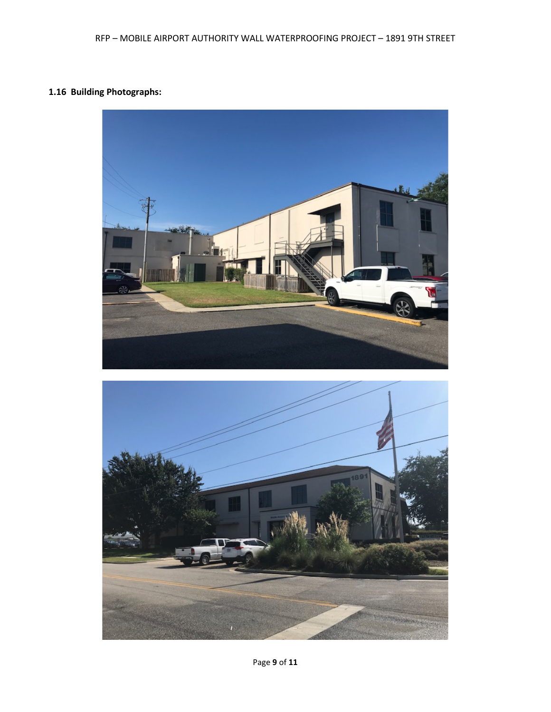# **1.16 Building Photographs:**



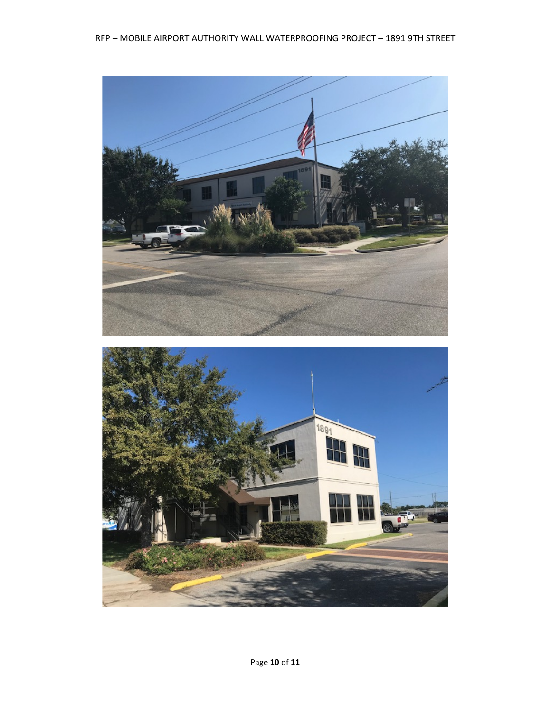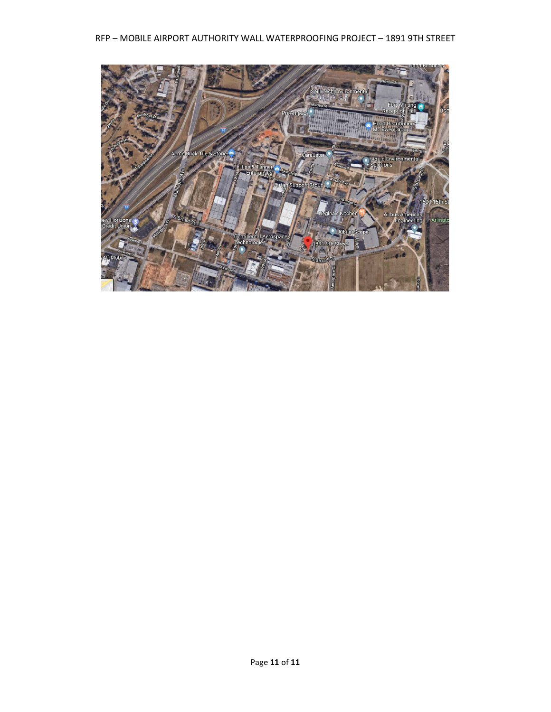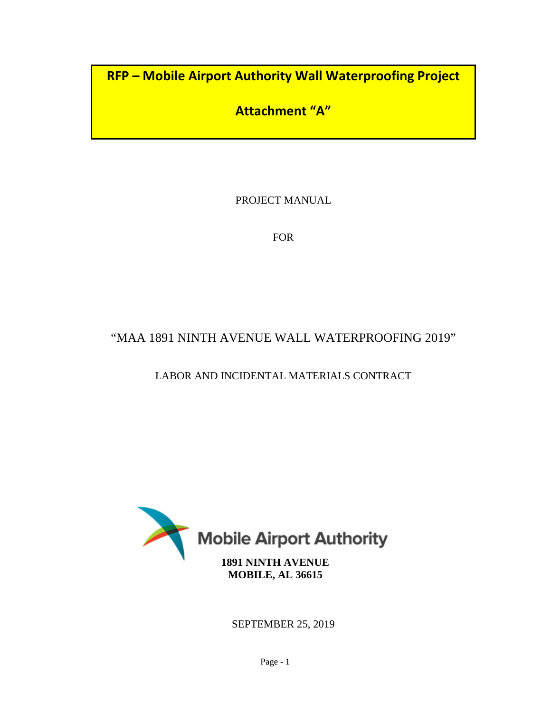**RFP – Mobile Airport Authority Wall Waterproofing Project**

# **Attachment "A"**

PROJECT MANUAL

FOR

# "MAA 1891 NINTH AVENUE WALL WATERPROOFING 2019"

# LABOR AND INCIDENTAL MATERIALS CONTRACT



**MOBILE, AL 36615**

SEPTEMBER 25, 2019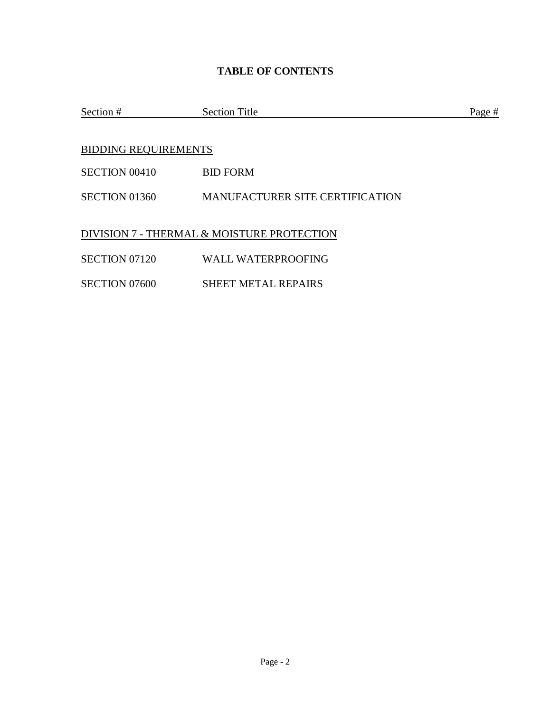# **TABLE OF CONTENTS**

Section # Section Title Page # Page #

# BIDDING REQUIREMENTS

SECTION 00410 BID FORM

SECTION 01360 MANUFACTURER SITE CERTIFICATION

DIVISION 7 - THERMAL & MOISTURE PROTECTION

- SECTION 07120 WALL WATERPROOFING
- SECTION 07600 SHEET METAL REPAIRS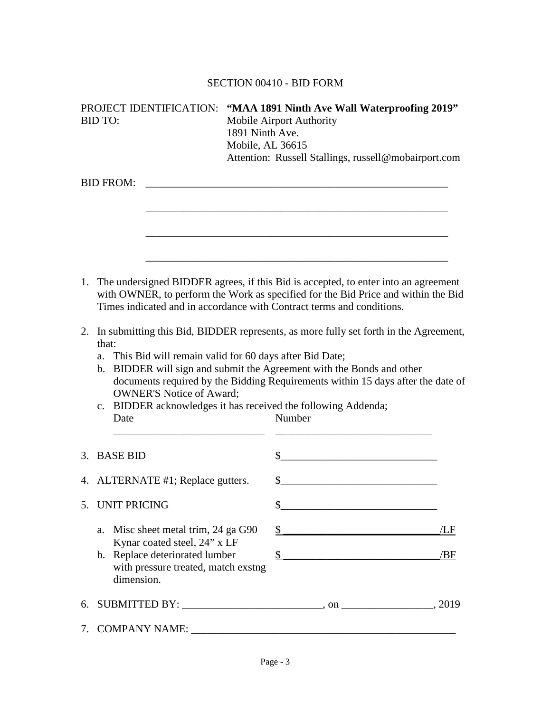# SECTION 00410 - BID FORM

| PROJECT IDENTIFICATION:<br><b>BID TO:</b>                                                                           | "MAA 1891 Ninth Ave Wall Waterproofing 2019"<br><b>Mobile Airport Authority</b><br>1891 Ninth Ave.<br>Mobile, AL 36615<br>Attention: Russell Stallings, russell@mobairport.com                                                                                                                                                 |
|---------------------------------------------------------------------------------------------------------------------|--------------------------------------------------------------------------------------------------------------------------------------------------------------------------------------------------------------------------------------------------------------------------------------------------------------------------------|
| <b>BID FROM:</b>                                                                                                    | <u> 1980 - Jan Barbarat, manala</u>                                                                                                                                                                                                                                                                                            |
|                                                                                                                     |                                                                                                                                                                                                                                                                                                                                |
|                                                                                                                     | 1. The undersigned BIDDER agrees, if this Bid is accepted, to enter into an agreement<br>with OWNER, to perform the Work as specified for the Bid Price and within the Bid<br>Times indicated and in accordance with Contract terms and conditions.                                                                            |
| that:<br>a. This Bid will remain valid for 60 days after Bid Date;<br><b>OWNER'S Notice of Award;</b><br>Date       | 2. In submitting this Bid, BIDDER represents, as more fully set forth in the Agreement,<br>b. BIDDER will sign and submit the Agreement with the Bonds and other<br>documents required by the Bidding Requirements within 15 days after the date of<br>c. BIDDER acknowledges it has received the following Addenda;<br>Number |
| 3. BASE BID                                                                                                         | $\frac{1}{2}$                                                                                                                                                                                                                                                                                                                  |
| 4. ALTERNATE #1; Replace gutters.                                                                                   | $\sim$ $\sim$                                                                                                                                                                                                                                                                                                                  |
| 5. UNIT PRICING                                                                                                     | \$                                                                                                                                                                                                                                                                                                                             |
| Misc sheet metal trim, 24 ga G90<br>a.                                                                              | \$<br>/LF                                                                                                                                                                                                                                                                                                                      |
| Kynar coated steel, 24" x LF<br>b. Replace deteriorated lumber<br>with pressure treated, match exstng<br>dimension. | \$<br>/BF                                                                                                                                                                                                                                                                                                                      |
|                                                                                                                     |                                                                                                                                                                                                                                                                                                                                |
|                                                                                                                     |                                                                                                                                                                                                                                                                                                                                |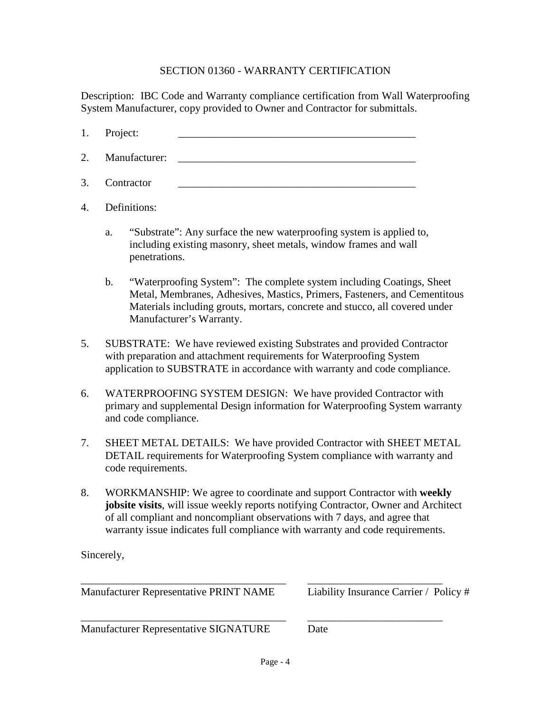## SECTION 01360 - WARRANTY CERTIFICATION

Description: IBC Code and Warranty compliance certification from Wall Waterproofing System Manufacturer, copy provided to Owner and Contractor for submittals.

- 1. Project: \_\_\_\_\_\_\_\_\_\_\_\_\_\_\_\_\_\_\_\_\_\_\_\_\_\_\_\_\_\_\_\_\_\_\_\_\_\_\_\_\_\_\_\_
- 2. Manufacturer:
- 3. Contractor
- 4. Definitions:
	- a. "Substrate": Any surface the new waterproofing system is applied to, including existing masonry, sheet metals, window frames and wall penetrations.
	- b. "Waterproofing System": The complete system including Coatings, Sheet Metal, Membranes, Adhesives, Mastics, Primers, Fasteners, and Cementitous Materials including grouts, mortars, concrete and stucco, all covered under Manufacturer's Warranty.
- 5. SUBSTRATE: We have reviewed existing Substrates and provided Contractor with preparation and attachment requirements for Waterproofing System application to SUBSTRATE in accordance with warranty and code compliance.
- 6. WATERPROOFING SYSTEM DESIGN: We have provided Contractor with primary and supplemental Design information for Waterproofing System warranty and code compliance.
- 7. SHEET METAL DETAILS: We have provided Contractor with SHEET METAL DETAIL requirements for Waterproofing System compliance with warranty and code requirements.
- 8. WORKMANSHIP: We agree to coordinate and support Contractor with **weekly jobsite visits**, will issue weekly reports notifying Contractor, Owner and Architect of all compliant and noncompliant observations with 7 days, and agree that warranty issue indicates full compliance with warranty and code requirements.

Sincerely,

\_\_\_\_\_\_\_\_\_\_\_\_\_\_\_\_\_\_\_\_\_\_\_\_\_\_\_\_\_\_\_\_\_\_\_\_\_\_ \_\_\_\_\_\_\_\_\_\_\_\_\_\_\_\_\_\_\_\_\_\_\_\_\_ Manufacturer Representative PRINT NAME Liability Insurance Carrier / Policy #

\_\_\_\_\_\_\_\_\_\_\_\_\_\_\_\_\_\_\_\_\_\_\_\_\_\_\_\_\_\_\_\_\_\_\_\_\_\_ \_\_\_\_\_\_\_\_\_\_\_\_\_\_\_\_\_\_\_\_\_\_\_\_\_ Manufacturer Representative SIGNATURE Date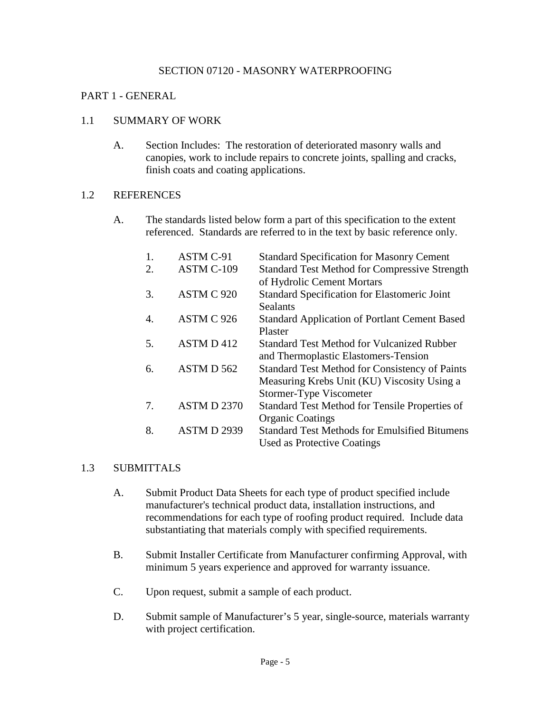## SECTION 07120 - MASONRY WATERPROOFING

## PART 1 - GENERAL

## 1.1 SUMMARY OF WORK

A. Section Includes: The restoration of deteriorated masonry walls and canopies, work to include repairs to concrete joints, spalling and cracks, finish coats and coating applications.

## 1.2 REFERENCES

A. The standards listed below form a part of this specification to the extent referenced. Standards are referred to in the text by basic reference only.

| 1. | <b>ASTM C-91</b>   | <b>Standard Specification for Masonry Cement</b>      |
|----|--------------------|-------------------------------------------------------|
| 2. | ASTM C-109         | <b>Standard Test Method for Compressive Strength</b>  |
|    |                    | of Hydrolic Cement Mortars                            |
| 3. | ASTM C 920         | Standard Specification for Elastomeric Joint          |
|    |                    | <b>Sealants</b>                                       |
| 4. | ASTM C 926         | <b>Standard Application of Portlant Cement Based</b>  |
|    |                    | Plaster                                               |
| 5. | ASTM D 412         | <b>Standard Test Method for Vulcanized Rubber</b>     |
|    |                    | and Thermoplastic Elastomers-Tension                  |
| 6. | ASTM D 562         | <b>Standard Test Method for Consistency of Paints</b> |
|    |                    | Measuring Krebs Unit (KU) Viscosity Using a           |
|    |                    | Stormer-Type Viscometer                               |
| 7. | <b>ASTM D 2370</b> | Standard Test Method for Tensile Properties of        |
|    |                    | <b>Organic Coatings</b>                               |
| 8. | ASTM D 2939        | <b>Standard Test Methods for Emulsified Bitumens</b>  |
|    |                    | Used as Protective Coatings                           |

## 1.3 SUBMITTALS

- A. Submit Product Data Sheets for each type of product specified include manufacturer's technical product data, installation instructions, and recommendations for each type of roofing product required. Include data substantiating that materials comply with specified requirements.
- B. Submit Installer Certificate from Manufacturer confirming Approval, with minimum 5 years experience and approved for warranty issuance.
- C. Upon request, submit a sample of each product.
- D. Submit sample of Manufacturer's 5 year, single-source, materials warranty with project certification.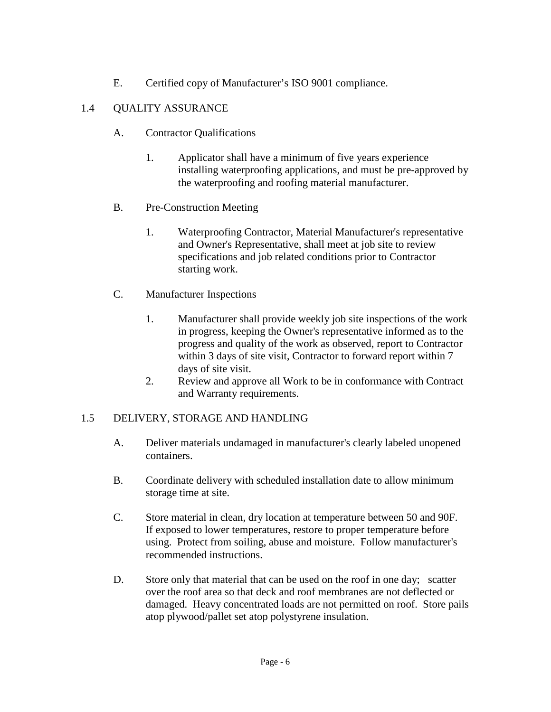E. Certified copy of Manufacturer's ISO 9001 compliance.

# 1.4 QUALITY ASSURANCE

- A. Contractor Qualifications
	- 1. Applicator shall have a minimum of five years experience installing waterproofing applications, and must be pre-approved by the waterproofing and roofing material manufacturer.
- B. Pre-Construction Meeting
	- 1. Waterproofing Contractor, Material Manufacturer's representative and Owner's Representative, shall meet at job site to review specifications and job related conditions prior to Contractor starting work.
- C. Manufacturer Inspections
	- 1. Manufacturer shall provide weekly job site inspections of the work in progress, keeping the Owner's representative informed as to the progress and quality of the work as observed, report to Contractor within 3 days of site visit, Contractor to forward report within 7 days of site visit.
	- 2. Review and approve all Work to be in conformance with Contract and Warranty requirements.

# 1.5 DELIVERY, STORAGE AND HANDLING

- A. Deliver materials undamaged in manufacturer's clearly labeled unopened containers.
- B. Coordinate delivery with scheduled installation date to allow minimum storage time at site.
- C. Store material in clean, dry location at temperature between 50 and 90F. If exposed to lower temperatures, restore to proper temperature before using. Protect from soiling, abuse and moisture. Follow manufacturer's recommended instructions.
- D. Store only that material that can be used on the roof in one day; scatter over the roof area so that deck and roof membranes are not deflected or damaged. Heavy concentrated loads are not permitted on roof. Store pails atop plywood/pallet set atop polystyrene insulation.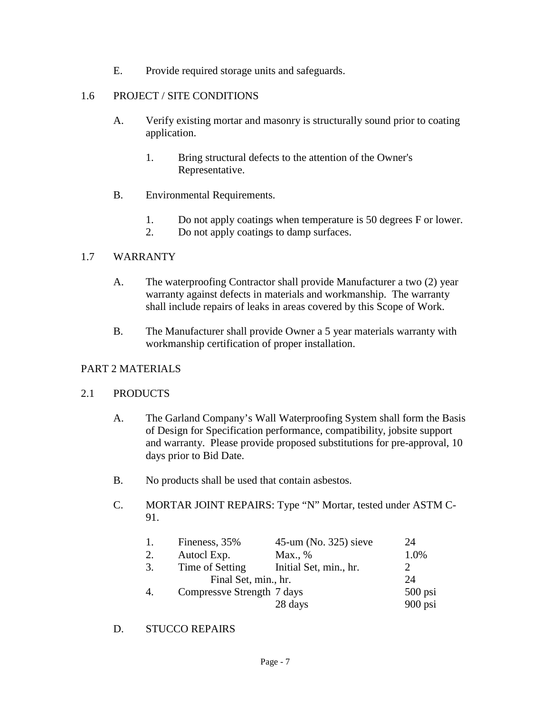E. Provide required storage units and safeguards.

# 1.6 PROJECT / SITE CONDITIONS

- A. Verify existing mortar and masonry is structurally sound prior to coating application.
	- 1. Bring structural defects to the attention of the Owner's Representative.
- B. Environmental Requirements.
	- 1. Do not apply coatings when temperature is 50 degrees F or lower.
	- 2. Do not apply coatings to damp surfaces.

# 1.7 WARRANTY

- A. The waterproofing Contractor shall provide Manufacturer a two (2) year warranty against defects in materials and workmanship. The warranty shall include repairs of leaks in areas covered by this Scope of Work.
- B. The Manufacturer shall provide Owner a 5 year materials warranty with workmanship certification of proper installation.

# PART 2 MATERIALS

# 2.1 PRODUCTS

- A. The Garland Company's Wall Waterproofing System shall form the Basis of Design for Specification performance, compatibility, jobsite support and warranty. Please provide proposed substitutions for pre-approval, 10 days prior to Bid Date.
- B. No products shall be used that contain asbestos.
- C. MORTAR JOINT REPAIRS: Type "N" Mortar, tested under ASTM C-91.

| Fineness, 35%   | 45-um (No. 325) sieve  | 24                                                 |
|-----------------|------------------------|----------------------------------------------------|
| Autocl Exp.     | Max., %                | 1.0%                                               |
| Time of Setting | Initial Set, min., hr. |                                                    |
|                 |                        | 24                                                 |
|                 |                        | 500 psi                                            |
|                 | 28 days                | 900 psi                                            |
|                 |                        | Final Set, min., hr.<br>Compressve Strength 7 days |

D. STUCCO REPAIRS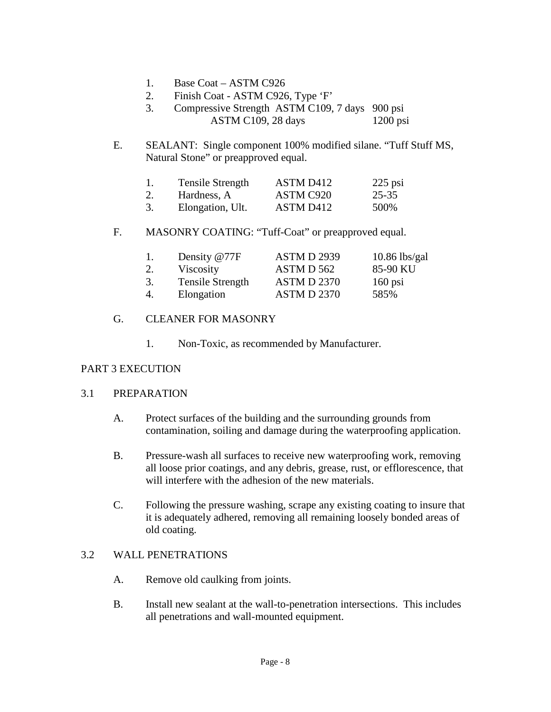- 1. Base Coat ASTM C926
- 2. Finish Coat ASTM C926, Type 'F'
- 3. Compressive Strength ASTM C109, 7 days 900 psi ASTM C109, 28 days 1200 psi
- E. SEALANT: Single component 100% modified silane. "Tuff Stuff MS, Natural Stone" or preapproved equal.

| Tensile Strength | ASTM D412 | $225$ psi |
|------------------|-----------|-----------|
| Hardness, A      | ASTM C920 | 25-35     |
| Elongation, Ult. | ASTM D412 | 500\%     |

F. MASONRY COATING: "Tuff-Coat" or preapproved equal.

|    | Density @77F     | <b>ASTM D 2939</b> | $10.86$ lbs/gal |
|----|------------------|--------------------|-----------------|
| 2. | Viscosity        | ASTM D 562         | 85-90 KU        |
| 3. | Tensile Strength | <b>ASTM D 2370</b> | $160$ psi       |
| 4. | Elongation       | <b>ASTM D 2370</b> | 585%            |

- G. CLEANER FOR MASONRY
	- 1. Non-Toxic, as recommended by Manufacturer.

# PART 3 EXECUTION

# 3.1 PREPARATION

- A. Protect surfaces of the building and the surrounding grounds from contamination, soiling and damage during the waterproofing application.
- B. Pressure-wash all surfaces to receive new waterproofing work, removing all loose prior coatings, and any debris, grease, rust, or efflorescence, that will interfere with the adhesion of the new materials.
- C. Following the pressure washing, scrape any existing coating to insure that it is adequately adhered, removing all remaining loosely bonded areas of old coating.

# 3.2 WALL PENETRATIONS

- A. Remove old caulking from joints.
- B. Install new sealant at the wall-to-penetration intersections. This includes all penetrations and wall-mounted equipment.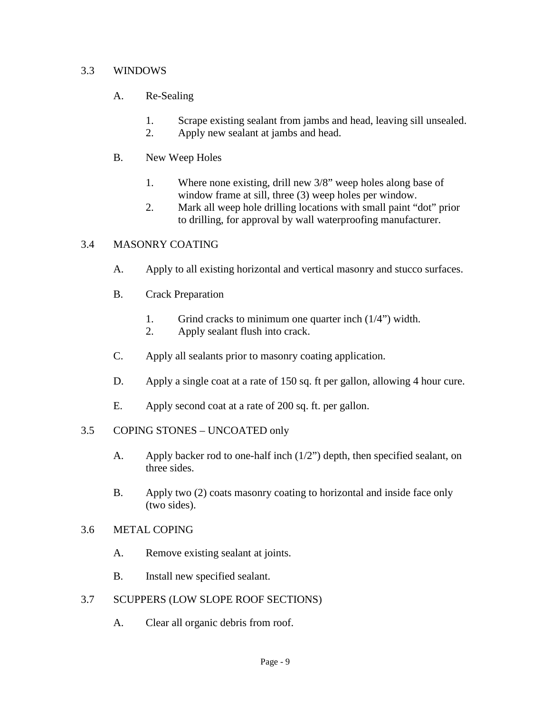## 3.3 WINDOWS

- A. Re-Sealing
	- 1. Scrape existing sealant from jambs and head, leaving sill unsealed.
	- 2. Apply new sealant at jambs and head.
- B. New Weep Holes
	- 1. Where none existing, drill new 3/8" weep holes along base of window frame at sill, three (3) weep holes per window.
	- 2. Mark all weep hole drilling locations with small paint "dot" prior to drilling, for approval by wall waterproofing manufacturer.

# 3.4 MASONRY COATING

- A. Apply to all existing horizontal and vertical masonry and stucco surfaces.
- B. Crack Preparation
	- 1. Grind cracks to minimum one quarter inch (1/4") width.
	- 2. Apply sealant flush into crack.
- C. Apply all sealants prior to masonry coating application.
- D. Apply a single coat at a rate of 150 sq. ft per gallon, allowing 4 hour cure.
- E. Apply second coat at a rate of 200 sq. ft. per gallon.

# 3.5 COPING STONES – UNCOATED only

- A. Apply backer rod to one-half inch (1/2") depth, then specified sealant, on three sides.
- B. Apply two (2) coats masonry coating to horizontal and inside face only (two sides).

# 3.6 METAL COPING

- A. Remove existing sealant at joints.
- B. Install new specified sealant.
- 3.7 SCUPPERS (LOW SLOPE ROOF SECTIONS)
	- A. Clear all organic debris from roof.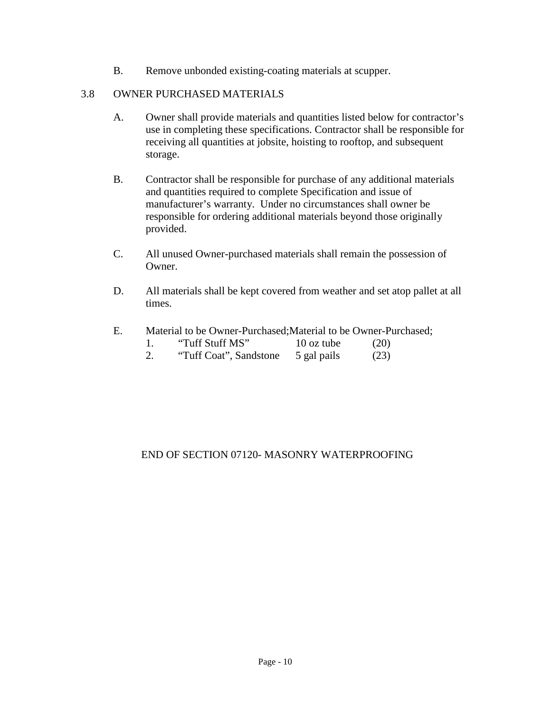B. Remove unbonded existing-coating materials at scupper.

## 3.8 OWNER PURCHASED MATERIALS

- A. Owner shall provide materials and quantities listed below for contractor's use in completing these specifications. Contractor shall be responsible for receiving all quantities at jobsite, hoisting to rooftop, and subsequent storage.
- B. Contractor shall be responsible for purchase of any additional materials and quantities required to complete Specification and issue of manufacturer's warranty. Under no circumstances shall owner be responsible for ordering additional materials beyond those originally provided.
- C. All unused Owner-purchased materials shall remain the possession of Owner.
- D. All materials shall be kept covered from weather and set atop pallet at all times.
- E. Material to be Owner-Purchased;Material to be Owner-Purchased;

|    | "Tuff Stuff MS"        | $10 \text{ oz}$ tube | (20) |
|----|------------------------|----------------------|------|
| 2. | "Tuff Coat", Sandstone | 5 gal pails          | (23) |

# END OF SECTION 07120- MASONRY WATERPROOFING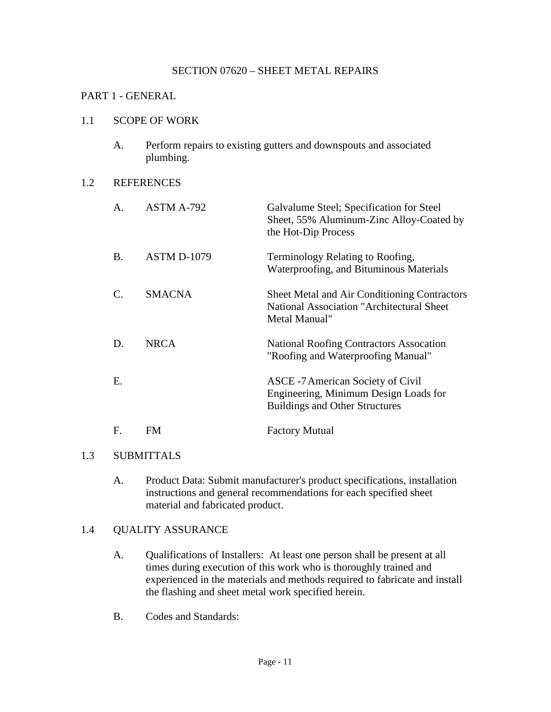## SECTION 07620 – SHEET METAL REPAIRS

## PART 1 - GENERAL

## 1.1 SCOPE OF WORK

A. Perform repairs to existing gutters and downspouts and associated plumbing.

## 1.2 REFERENCES

| A.              | ASTM A-792         | Galvalume Steel; Specification for Steel<br>Sheet, 55% Aluminum-Zinc Alloy-Coated by<br>the Hot-Dip Process                |
|-----------------|--------------------|----------------------------------------------------------------------------------------------------------------------------|
| <b>B.</b>       | <b>ASTM D-1079</b> | Terminology Relating to Roofing,<br>Waterproofing, and Bituminous Materials                                                |
| $\mathcal{C}$ . | <b>SMACNA</b>      | <b>Sheet Metal and Air Conditioning Contractors</b><br><b>National Association "Architectural Sheet</b><br>Metal Manual"   |
| D.              | <b>NRCA</b>        | <b>National Roofing Contractors Assocation</b><br>"Roofing and Waterproofing Manual"                                       |
| Е.              |                    | <b>ASCE -7 American Society of Civil</b><br>Engineering, Minimum Design Loads for<br><b>Buildings and Other Structures</b> |
| $F_{\cdot}$     | FM                 | <b>Factory Mutual</b>                                                                                                      |

## 1.3 SUBMITTALS

A. Product Data: Submit manufacturer's product specifications, installation instructions and general recommendations for each specified sheet material and fabricated product.

# 1.4 QUALITY ASSURANCE

- A. Qualifications of Installers: At least one person shall be present at all times during execution of this work who is thoroughly trained and experienced in the materials and methods required to fabricate and install the flashing and sheet metal work specified herein.
- B. Codes and Standards: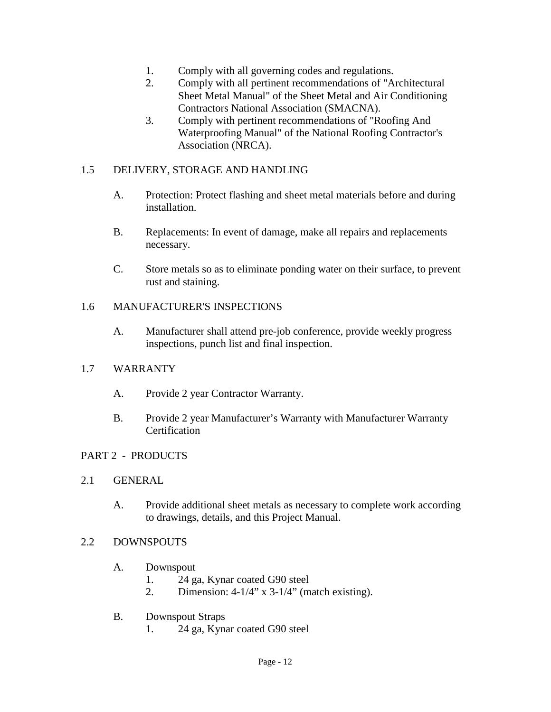- 1. Comply with all governing codes and regulations.
- 2. Comply with all pertinent recommendations of "Architectural Sheet Metal Manual" of the Sheet Metal and Air Conditioning Contractors National Association (SMACNA).
- 3. Comply with pertinent recommendations of "Roofing And Waterproofing Manual" of the National Roofing Contractor's Association (NRCA).

# 1.5 DELIVERY, STORAGE AND HANDLING

- A. Protection: Protect flashing and sheet metal materials before and during installation.
- B. Replacements: In event of damage, make all repairs and replacements necessary.
- C. Store metals so as to eliminate ponding water on their surface, to prevent rust and staining.

# 1.6 MANUFACTURER'S INSPECTIONS

A. Manufacturer shall attend pre-job conference, provide weekly progress inspections, punch list and final inspection.

# 1.7 WARRANTY

- A. Provide 2 year Contractor Warranty.
- B. Provide 2 year Manufacturer's Warranty with Manufacturer Warranty **Certification**

# PART 2 - PRODUCTS

- 2.1 GENERAL
	- A. Provide additional sheet metals as necessary to complete work according to drawings, details, and this Project Manual.

# 2.2 DOWNSPOUTS

- A. Downspout
	- 1. 24 ga, Kynar coated G90 steel
	- 2. Dimension:  $4-1/4$ " x  $3-1/4$ " (match existing).
- B. Downspout Straps
	- 1. 24 ga, Kynar coated G90 steel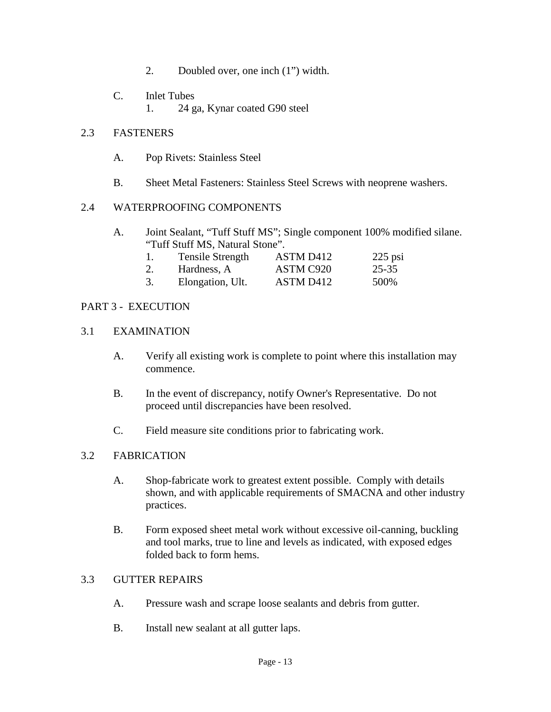- 2. Doubled over, one inch (1") width.
- C. Inlet Tubes 1. 24 ga, Kynar coated G90 steel

# 2.3 FASTENERS

- A. Pop Rivets: Stainless Steel
- B. Sheet Metal Fasteners: Stainless Steel Screws with neoprene washers.

# 2.4 WATERPROOFING COMPONENTS

A. Joint Sealant, "Tuff Stuff MS"; Single component 100% modified silane. "Tuff Stuff MS, Natural Stone".

|    | Tensile Strength | ASTM D412 | $225$ psi |
|----|------------------|-----------|-----------|
| 2. | Hardness, A      | ASTM C920 | 25-35     |
| 3. | Elongation, Ult. | ASTM D412 | 500\%     |

# PART 3 - EXECUTION

# 3.1 EXAMINATION

- A. Verify all existing work is complete to point where this installation may commence.
- B. In the event of discrepancy, notify Owner's Representative. Do not proceed until discrepancies have been resolved.
- C. Field measure site conditions prior to fabricating work.

# 3.2 FABRICATION

- A. Shop-fabricate work to greatest extent possible. Comply with details shown, and with applicable requirements of SMACNA and other industry practices.
- B. Form exposed sheet metal work without excessive oil-canning, buckling and tool marks, true to line and levels as indicated, with exposed edges folded back to form hems.

# 3.3 GUTTER REPAIRS

- A. Pressure wash and scrape loose sealants and debris from gutter.
- B. Install new sealant at all gutter laps.